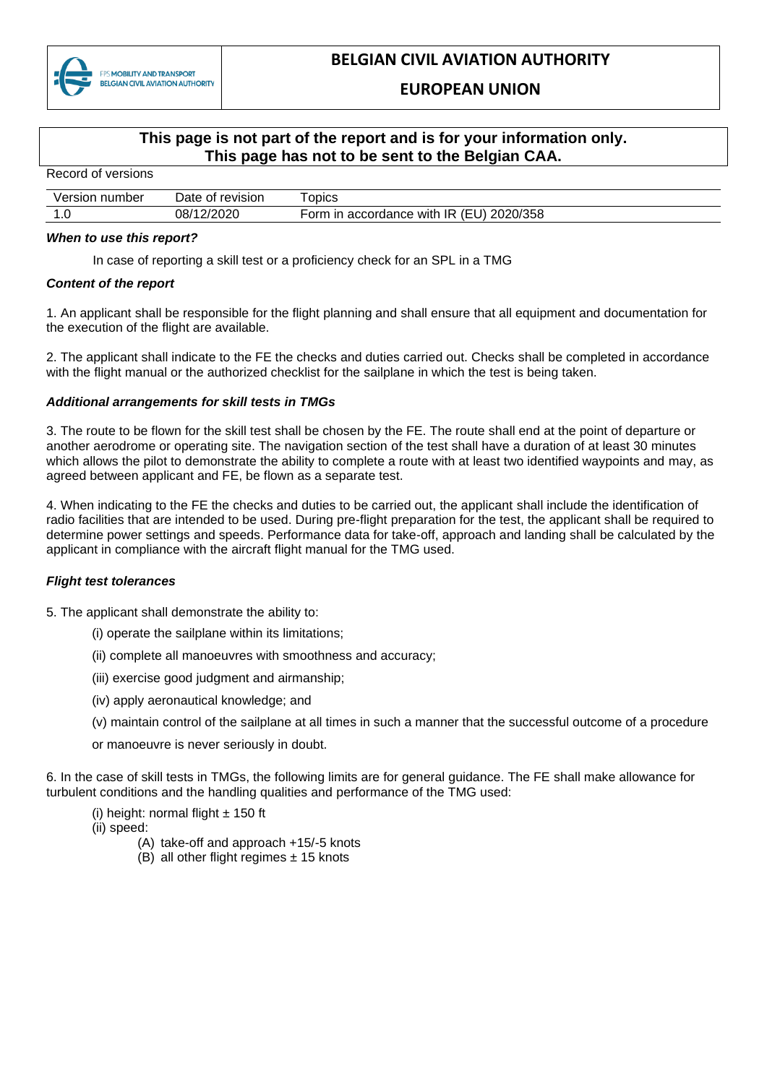

## **EUROPEAN UNION**

# **This page is not part of the report and is for your information only. This page has not to be sent to the Belgian CAA.**

| Record of Versions |                  |                                          |  |
|--------------------|------------------|------------------------------------------|--|
| Version number     | Date of revision | opics                                    |  |
|                    | 08/12/2020       | Form in accordance with IR (EU) 2020/358 |  |

#### *When to use this report?*

In case of reporting a skill test or a proficiency check for an SPL in a TMG

### *Content of the report*

Record of versions

1. An applicant shall be responsible for the flight planning and shall ensure that all equipment and documentation for the execution of the flight are available.

2. The applicant shall indicate to the FE the checks and duties carried out. Checks shall be completed in accordance with the flight manual or the authorized checklist for the sailplane in which the test is being taken.

### *Additional arrangements for skill tests in TMGs*

3. The route to be flown for the skill test shall be chosen by the FE. The route shall end at the point of departure or another aerodrome or operating site. The navigation section of the test shall have a duration of at least 30 minutes which allows the pilot to demonstrate the ability to complete a route with at least two identified waypoints and may, as agreed between applicant and FE, be flown as a separate test.

4. When indicating to the FE the checks and duties to be carried out, the applicant shall include the identification of radio facilities that are intended to be used. During pre-flight preparation for the test, the applicant shall be required to determine power settings and speeds. Performance data for take-off, approach and landing shall be calculated by the applicant in compliance with the aircraft flight manual for the TMG used.

### *Flight test tolerances*

5. The applicant shall demonstrate the ability to:

- (i) operate the sailplane within its limitations;
- (ii) complete all manoeuvres with smoothness and accuracy;
- (iii) exercise good judgment and airmanship;
- (iv) apply aeronautical knowledge; and
- (v) maintain control of the sailplane at all times in such a manner that the successful outcome of a procedure

or manoeuvre is never seriously in doubt.

6. In the case of skill tests in TMGs, the following limits are for general guidance. The FE shall make allowance for turbulent conditions and the handling qualities and performance of the TMG used:

(i) height: normal flight  $\pm$  150 ft

(ii) speed:

- (A) take-off and approach +15/-5 knots
- (B) all other flight regimes  $\pm$  15 knots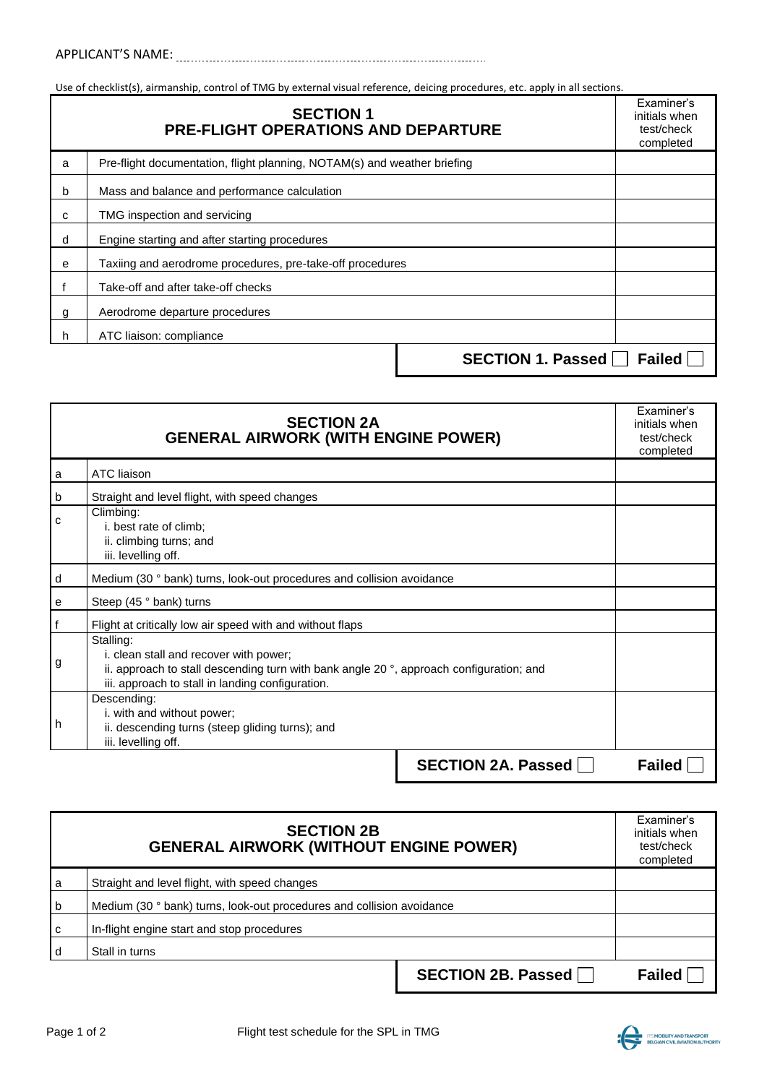Use of checklist(s), airmanship, control of TMG by external visual reference, deicing procedures, etc. apply in all sections.

|   | <b>SECTION 1</b><br><b>PRE-FLIGHT OPERATIONS AND DEPARTURE</b>           |                          | Examiner's<br>initials when<br>test/check<br>completed |
|---|--------------------------------------------------------------------------|--------------------------|--------------------------------------------------------|
| a | Pre-flight documentation, flight planning, NOTAM(s) and weather briefing |                          |                                                        |
| b | Mass and balance and performance calculation                             |                          |                                                        |
| C | TMG inspection and servicing                                             |                          |                                                        |
| d | Engine starting and after starting procedures                            |                          |                                                        |
| e | Taxiing and aerodrome procedures, pre-take-off procedures                |                          |                                                        |
|   | Take-off and after take-off checks                                       |                          |                                                        |
| g | Aerodrome departure procedures                                           |                          |                                                        |
| h | ATC liaison: compliance                                                  |                          |                                                        |
|   |                                                                          | <b>SECTION 1. Passed</b> | <b>Failed</b>                                          |

| <b>SECTION 2A</b><br><b>GENERAL AIRWORK (WITH ENGINE POWER)</b> |                                                                                                                                                                                                   | Examiner's<br>initials when<br>test/check<br>completed |               |
|-----------------------------------------------------------------|---------------------------------------------------------------------------------------------------------------------------------------------------------------------------------------------------|--------------------------------------------------------|---------------|
| a                                                               | ATC liaison                                                                                                                                                                                       |                                                        |               |
| b                                                               | Straight and level flight, with speed changes                                                                                                                                                     |                                                        |               |
| С                                                               | Climbing:<br>i. best rate of climb;<br>ii. climbing turns; and<br>iii. levelling off.                                                                                                             |                                                        |               |
| d                                                               | Medium (30 ° bank) turns, look-out procedures and collision avoidance                                                                                                                             |                                                        |               |
| е                                                               | Steep (45 ° bank) turns                                                                                                                                                                           |                                                        |               |
| f                                                               | Flight at critically low air speed with and without flaps                                                                                                                                         |                                                        |               |
| g                                                               | Stalling:<br>i. clean stall and recover with power;<br>ii. approach to stall descending turn with bank angle 20°, approach configuration; and<br>iii. approach to stall in landing configuration. |                                                        |               |
| h.                                                              | Descending:<br>i. with and without power;<br>ii. descending turns (steep gliding turns); and<br>iii. levelling off.                                                                               |                                                        |               |
|                                                                 |                                                                                                                                                                                                   | <b>SECTION 2A. Passed</b>                              | <b>Failed</b> |

|             | <b>SECTION 2B</b><br><b>GENERAL AIRWORK (WITHOUT ENGINE POWER)</b>    |               |
|-------------|-----------------------------------------------------------------------|---------------|
| a           | Straight and level flight, with speed changes                         |               |
| $\mathbf b$ | Medium (30 ° bank) turns, look-out procedures and collision avoidance |               |
| C           | In-flight engine start and stop procedures                            |               |
|             | Stall in turns                                                        |               |
|             | <b>SECTION 2B. Passed</b>                                             | <b>Failed</b> |